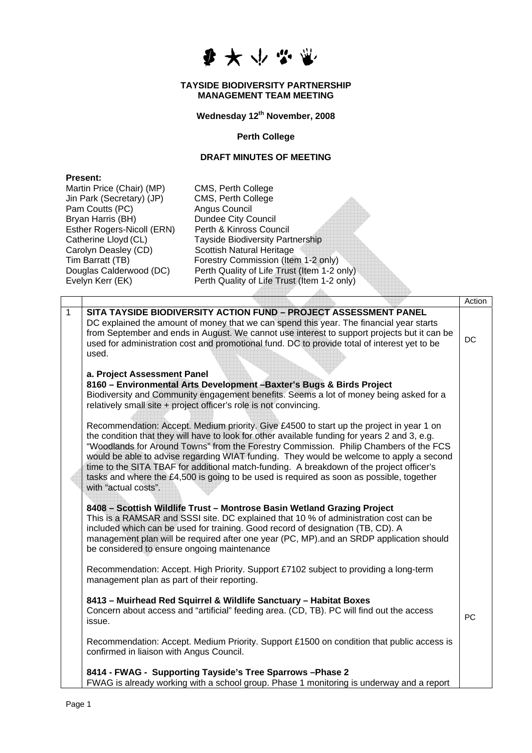

## **TAYSIDE BIODIVERSITY PARTNERSHIP MANAGEMENT TEAM MEETING**

**Wednesday 12th November, 2008** 

**Perth College** 

## **DRAFT MINUTES OF MEETING**

| <b>Present:</b> |
|-----------------|
|-----------------|

|              | CMS, Perth College<br>Martin Price (Chair) (MP)<br>Jin Park (Secretary) (JP)<br>CMS, Perth College<br>Pam Coutts (PC)<br>Angus Council<br><b>Dundee City Council</b><br>Bryan Harris (BH)<br>Esther Rogers-Nicoll (ERN)<br>Perth & Kinross Council<br>Catherine Lloyd (CL)<br><b>Tayside Biodiversity Partnership</b><br>Carolyn Deasley (CD)<br>Scottish Natural Heritage<br>Tim Barratt (TB)<br>Forestry Commission (Item 1-2 only)<br>Douglas Calderwood (DC)<br>Perth Quality of Life Trust (Item 1-2 only)<br>Evelyn Kerr (EK)<br>Perth Quality of Life Trust (Item 1-2 only) |                                                                                                                                                                                                                                                                                                                                                                                                                                                                                                                                                                       |           |  |  |  |  |
|--------------|------------------------------------------------------------------------------------------------------------------------------------------------------------------------------------------------------------------------------------------------------------------------------------------------------------------------------------------------------------------------------------------------------------------------------------------------------------------------------------------------------------------------------------------------------------------------------------|-----------------------------------------------------------------------------------------------------------------------------------------------------------------------------------------------------------------------------------------------------------------------------------------------------------------------------------------------------------------------------------------------------------------------------------------------------------------------------------------------------------------------------------------------------------------------|-----------|--|--|--|--|
|              |                                                                                                                                                                                                                                                                                                                                                                                                                                                                                                                                                                                    |                                                                                                                                                                                                                                                                                                                                                                                                                                                                                                                                                                       | Action    |  |  |  |  |
| $\mathbf{1}$ | used.                                                                                                                                                                                                                                                                                                                                                                                                                                                                                                                                                                              | SITA TAYSIDE BIODIVERSITY ACTION FUND - PROJECT ASSESSMENT PANEL<br>DC explained the amount of money that we can spend this year. The financial year starts<br>from September and ends in August. We cannot use interest to support projects but it can be<br>used for administration cost and promotional fund. DC to provide total of interest yet to be                                                                                                                                                                                                            | DC        |  |  |  |  |
|              | a. Project Assessment Panel                                                                                                                                                                                                                                                                                                                                                                                                                                                                                                                                                        | 8160 - Environmental Arts Development - Baxter's Bugs & Birds Project<br>Biodiversity and Community engagement benefits. Seems a lot of money being asked for a<br>relatively small site + project officer's role is not convincing.                                                                                                                                                                                                                                                                                                                                  |           |  |  |  |  |
|              | with "actual costs".                                                                                                                                                                                                                                                                                                                                                                                                                                                                                                                                                               | Recommendation: Accept. Medium priority. Give £4500 to start up the project in year 1 on<br>the condition that they will have to look for other available funding for years 2 and 3, e.g.<br>"Woodlands for Around Towns" from the Forestry Commission. Philip Chambers of the FCS<br>would be able to advise regarding WIAT funding. They would be welcome to apply a second<br>time to the SITA TBAF for additional match-funding. A breakdown of the project officer's<br>tasks and where the £4,500 is going to be used is required as soon as possible, together |           |  |  |  |  |
|              | be considered to ensure ongoing maintenance                                                                                                                                                                                                                                                                                                                                                                                                                                                                                                                                        | 8408 - Scottish Wildlife Trust - Montrose Basin Wetland Grazing Project<br>This is a RAMSAR and SSSI site. DC explained that 10 % of administration cost can be<br>included which can be used for training. Good record of designation (TB, CD). A<br>management plan will be required after one year (PC, MP) and an SRDP application should                                                                                                                                                                                                                         |           |  |  |  |  |
|              | management plan as part of their reporting.                                                                                                                                                                                                                                                                                                                                                                                                                                                                                                                                        | Recommendation: Accept. High Priority. Support £7102 subject to providing a long-term                                                                                                                                                                                                                                                                                                                                                                                                                                                                                 |           |  |  |  |  |
|              | issue.                                                                                                                                                                                                                                                                                                                                                                                                                                                                                                                                                                             | 8413 - Muirhead Red Squirrel & Wildlife Sanctuary - Habitat Boxes<br>Concern about access and "artificial" feeding area. (CD, TB). PC will find out the access                                                                                                                                                                                                                                                                                                                                                                                                        | <b>PC</b> |  |  |  |  |
|              | confirmed in liaison with Angus Council.                                                                                                                                                                                                                                                                                                                                                                                                                                                                                                                                           | Recommendation: Accept. Medium Priority. Support £1500 on condition that public access is                                                                                                                                                                                                                                                                                                                                                                                                                                                                             |           |  |  |  |  |
|              |                                                                                                                                                                                                                                                                                                                                                                                                                                                                                                                                                                                    | 8414 - FWAG - Supporting Tayside's Tree Sparrows - Phase 2<br>FWAG is already working with a school group. Phase 1 monitoring is underway and a report                                                                                                                                                                                                                                                                                                                                                                                                                |           |  |  |  |  |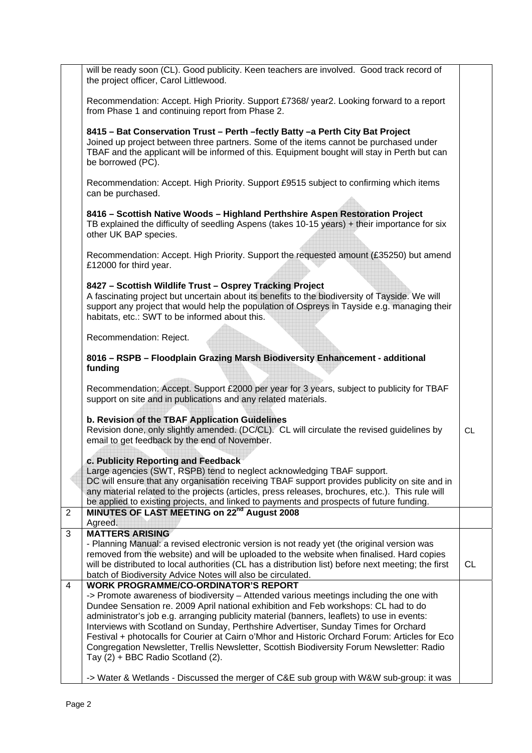|                | will be ready soon (CL). Good publicity. Keen teachers are involved. Good track record of<br>the project officer, Carol Littlewood.                                                                                                                                                                                                                                                                            |           |  |  |
|----------------|----------------------------------------------------------------------------------------------------------------------------------------------------------------------------------------------------------------------------------------------------------------------------------------------------------------------------------------------------------------------------------------------------------------|-----------|--|--|
|                | Recommendation: Accept. High Priority. Support £7368/ year2. Looking forward to a report<br>from Phase 1 and continuing report from Phase 2.                                                                                                                                                                                                                                                                   |           |  |  |
|                | 8415 - Bat Conservation Trust - Perth - fectly Batty - a Perth City Bat Project<br>Joined up project between three partners. Some of the items cannot be purchased under<br>TBAF and the applicant will be informed of this. Equipment bought will stay in Perth but can<br>be borrowed (PC).                                                                                                                  |           |  |  |
|                | Recommendation: Accept. High Priority. Support £9515 subject to confirming which items<br>can be purchased.                                                                                                                                                                                                                                                                                                    |           |  |  |
|                | 8416 - Scottish Native Woods - Highland Perthshire Aspen Restoration Project<br>TB explained the difficulty of seedling Aspens (takes 10-15 years) + their importance for six<br>other UK BAP species.                                                                                                                                                                                                         |           |  |  |
|                | Recommendation: Accept. High Priority. Support the requested amount (£35250) but amend<br>£12000 for third year.                                                                                                                                                                                                                                                                                               |           |  |  |
|                | 8427 - Scottish Wildlife Trust - Osprey Tracking Project<br>A fascinating project but uncertain about its benefits to the biodiversity of Tayside. We will<br>support any project that would help the population of Ospreys in Tayside e.g. managing their<br>habitats, etc.: SWT to be informed about this.                                                                                                   |           |  |  |
|                | Recommendation: Reject.                                                                                                                                                                                                                                                                                                                                                                                        |           |  |  |
|                | 8016 - RSPB - Floodplain Grazing Marsh Biodiversity Enhancement - additional<br>funding                                                                                                                                                                                                                                                                                                                        |           |  |  |
|                | Recommendation: Accept. Support £2000 per year for 3 years, subject to publicity for TBAF<br>support on site and in publications and any related materials.                                                                                                                                                                                                                                                    |           |  |  |
|                | b. Revision of the TBAF Application Guidelines<br>Revision done, only slightly amended. (DC/CL). CL will circulate the revised guidelines by<br>email to get feedback by the end of November.                                                                                                                                                                                                                  | <b>CL</b> |  |  |
|                | c. Publicity Reporting and Feedback<br>Large agencies (SWT, RSPB) tend to neglect acknowledging TBAF support.<br>DC will ensure that any organisation receiving TBAF support provides publicity on site and in<br>any material related to the projects (articles, press releases, brochures, etc.). This rule will<br>be applied to existing projects, and linked to payments and prospects of future funding. |           |  |  |
| $\overline{2}$ | MINUTES OF LAST MEETING on 22 <sup>nd</sup> August 2008<br>Agreed.                                                                                                                                                                                                                                                                                                                                             |           |  |  |
| 3              | <b>MATTERS ARISING</b>                                                                                                                                                                                                                                                                                                                                                                                         |           |  |  |
|                | - Planning Manual: a revised electronic version is not ready yet (the original version was<br>removed from the website) and will be uploaded to the website when finalised. Hard copies<br>will be distributed to local authorities (CL has a distribution list) before next meeting; the first<br>CL                                                                                                          |           |  |  |
| 4              | batch of Biodiversity Advice Notes will also be circulated.<br><b>WORK PROGRAMME/CO-ORDINATOR'S REPORT</b>                                                                                                                                                                                                                                                                                                     |           |  |  |
|                | -> Promote awareness of biodiversity - Attended various meetings including the one with                                                                                                                                                                                                                                                                                                                        |           |  |  |
|                | Dundee Sensation re. 2009 April national exhibition and Feb workshops: CL had to do<br>administrator's job e.g. arranging publicity material (banners, leaflets) to use in events:                                                                                                                                                                                                                             |           |  |  |
|                | Interviews with Scotland on Sunday, Perthshire Advertiser, Sunday Times for Orchard                                                                                                                                                                                                                                                                                                                            |           |  |  |
|                | Festival + photocalls for Courier at Cairn o'Mhor and Historic Orchard Forum: Articles for Eco<br>Congregation Newsletter, Trellis Newsletter, Scottish Biodiversity Forum Newsletter: Radio<br>Tay (2) + BBC Radio Scotland (2).                                                                                                                                                                              |           |  |  |
|                | -> Water & Wetlands - Discussed the merger of C&E sub group with W&W sub-group: it was                                                                                                                                                                                                                                                                                                                         |           |  |  |